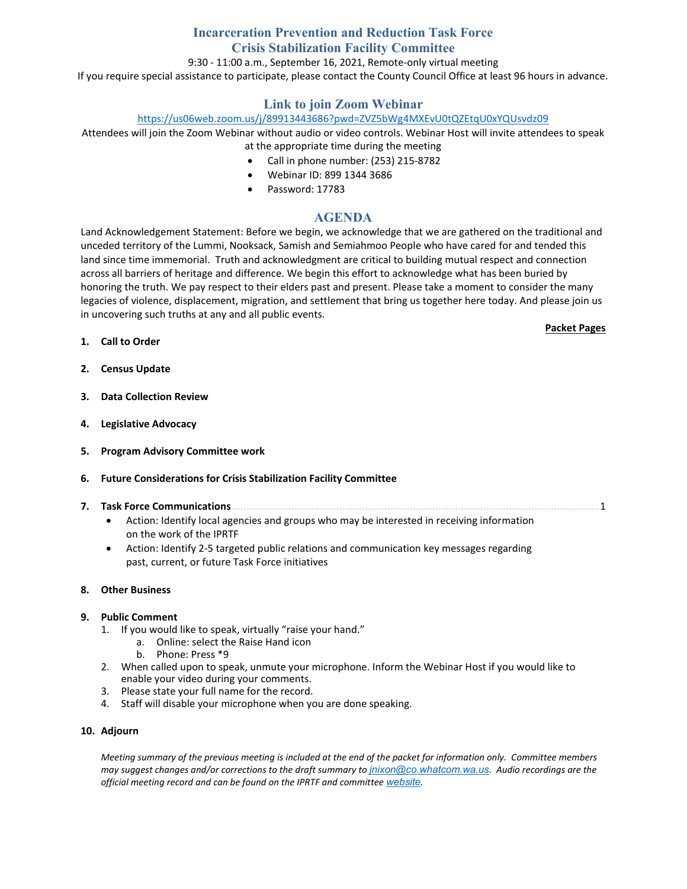# **Incarceration Prevention and Reduction Task Force Crisis Stabilization Facility Committee**

## 9:30 - 11:00 a.m., September 16, 2021, Remote-only virtual meeting

If you require special assistance to participate, please contact the County Council Office at least 96 hours in advance.

## **Link to join Zoom Webinar**

## <https://us06web.zoom.us/j/89913443686?pwd=ZVZ5bWg4MXEvU0tQZEtqU0xYQUsvdz09>

Attendees will join the Zoom Webinar without audio or video controls. Webinar Host will invite attendees to speak at the appropriate time during the meeting

- Call in phone number: (253) 215-8782
- Webinar ID: 899 1344 3686
- Password: 17783

## **AGENDA**

Land Acknowledgement Statement: Before we begin, we acknowledge that we are gathered on the traditional and unceded territory of the Lummi, Nooksack, Samish and Semiahmoo People who have cared for and tended this land since time immemorial. Truth and acknowledgment are critical to building mutual respect and connection across all barriers of heritage and difference. We begin this effort to acknowledge what has been buried by honoring the truth. We pay respect to their elders past and present. Please take a moment to consider the many legacies of violence, displacement, migration, and settlement that bring us together here today. And please join us in uncovering such truths at any and all public events.

#### **Packet Pages**

- **1. Call to Order**
- **2. Census Update**
- **3. Data Collection Review**
- **4. Legislative Advocacy**
- **5. Program Advisory Committee work**

## **6. Future Considerations for Crisis Stabilization Facility Committee**

- **7. Task Force Communications**..................................................................................................................................1
	- Action: Identify local agencies and groups who may be interested in receiving information on the work of the IPRTF
	- Action: Identify 2-5 targeted public relations and communication key messages regarding past, current, or future Task Force initiatives

#### **8. Other Business**

## **9. Public Comment**

- 1. If you would like to speak, virtually "raise your hand."
	- a. Online: select the Raise Hand icon
		- b. Phone: Press \*9
- 2. When called upon to speak, unmute your microphone. Inform the Webinar Host if you would like to enable your video during your comments.
- 3. Please state your full name for the record.
- 4. Staff will disable your microphone when you are done speaking.

#### **10. Adjourn**

*Meeting summary of the previous meeting is included at the end of the packet for information only. Committee members may suggest changes and/or corrections to the draft summary to [jnixon@co.whatcom.wa.us](mailto:jnixon@co.whatcom.wa.us). Audio recordings are the official meeting record and can be found on the IPRTF and committee [website](http://www.co.whatcom.wa.us/2052/Incarceration-Prevention-and-Reduction-T).*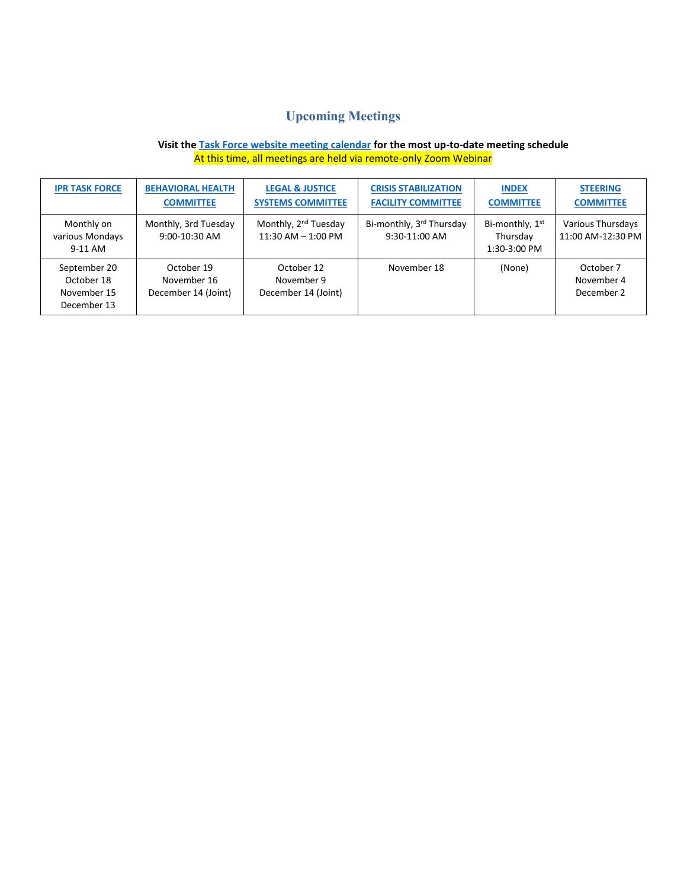# **Upcoming Meetings**

## **Visit th[e Task Force website meeting calendar](https://www.whatcomcounty.us/calendar.aspx?CID=40,) for the most up-to-date meeting schedule** At this time, all meetings are held via remote-only Zoom Webinar

| <b>IPR TASK FORCE</b>                                    | <b>BEHAVIORAL HEALTH</b><br><b>COMMITTEE</b>     | <b>LEGAL &amp; JUSTICE</b><br><b>SYSTEMS COMMITTEE</b>     | <b>CRISIS STABILIZATION</b><br><b>FACILITY COMMITTEE</b> | <b>INDEX</b><br><b>COMMITTEE</b>                        | <b>STEERING</b><br><b>COMMITTEE</b>    |
|----------------------------------------------------------|--------------------------------------------------|------------------------------------------------------------|----------------------------------------------------------|---------------------------------------------------------|----------------------------------------|
| Monthly on<br>various Mondays<br>9-11 AM                 | Monthly, 3rd Tuesday<br>$9:00-10:30$ AM          | Monthly, 2 <sup>nd</sup> Tuesday<br>$11:30$ AM $- 1:00$ PM | Bi-monthly, 3rd Thursday<br>9:30-11:00 AM                | Bi-monthly, 1 <sup>st</sup><br>Thursday<br>1:30-3:00 PM | Various Thursdays<br>11:00 AM-12:30 PM |
| September 20<br>October 18<br>November 15<br>December 13 | October 19<br>November 16<br>December 14 (Joint) | October 12<br>November 9<br>December 14 (Joint)            | November 18                                              | (None)                                                  | October 7<br>November 4<br>December 2  |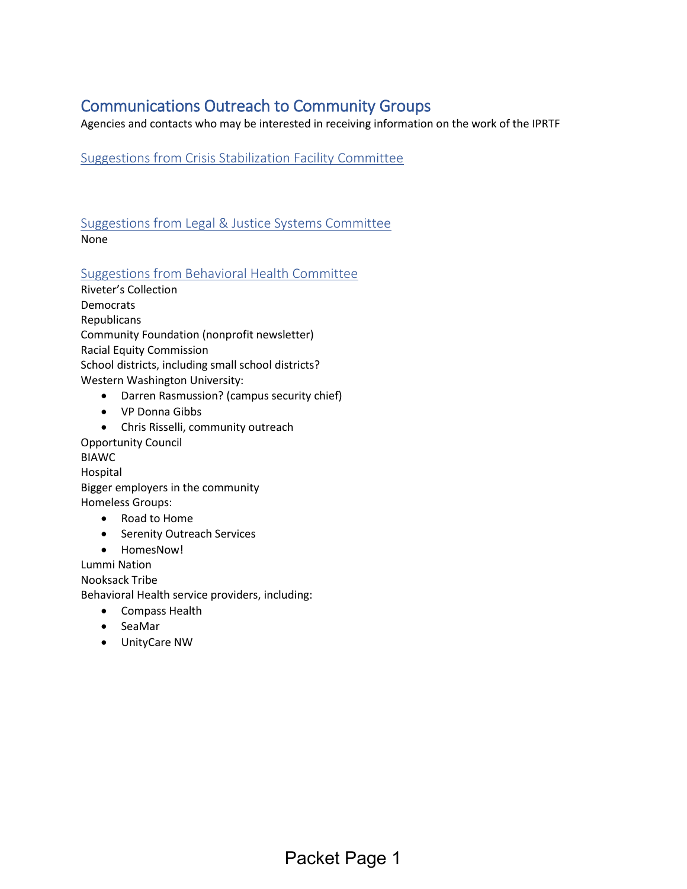# Communications Outreach to Community Groups

Agencies and contacts who may be interested in receiving information on the work of the IPRTF

Suggestions from Crisis Stabilization Facility Committee

Suggestions from Legal & Justice Systems Committee None

Suggestions from Behavioral Health Committee

Riveter's Collection **Democrats Republicans** Community Foundation (nonprofit newsletter) Racial Equity Commission School districts, including small school districts? Western Washington University:

- Darren Rasmussion? (campus security chief)
- VP Donna Gibbs
- Chris Risselli, community outreach

Opportunity Council BIAWC Hospital Bigger employers in the community Homeless Groups:

- Road to Home
- Serenity Outreach Services
- HomesNow!

Lummi Nation Nooksack Tribe Behavioral Health service providers, including:

- Compass Health
- SeaMar
- UnityCare NW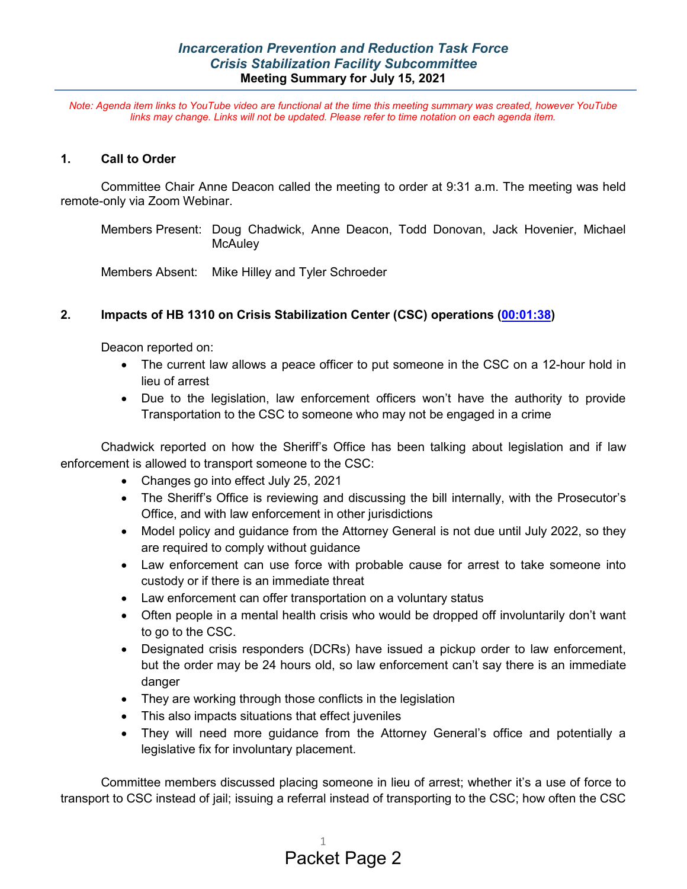*Note: Agenda item links to YouTube video are functional at the time this meeting summary was created, however YouTube links may change. Links will not be updated. Please refer to time notation on each agenda item.*

## **1. Call to Order**

Committee Chair Anne Deacon called the meeting to order at 9:31 a.m. The meeting was held remote-only via Zoom Webinar.

Members Present: Doug Chadwick, Anne Deacon, Todd Donovan, Jack Hovenier, Michael **McAuley** 

Members Absent: Mike Hilley and Tyler Schroeder

# **2. Impacts of HB 1310 on Crisis Stabilization Center (CSC) operations [\(00:01:38\)](https://youtu.be/R2g5yLDs-SU?list=PL8OuJOt5jT9qfmpjQ562L2KL685E3KxC2&t=97)**

Deacon reported on:

- The current law allows a peace officer to put someone in the CSC on a 12-hour hold in lieu of arrest
- Due to the legislation, law enforcement officers won't have the authority to provide Transportation to the CSC to someone who may not be engaged in a crime

Chadwick reported on how the Sheriff's Office has been talking about legislation and if law enforcement is allowed to transport someone to the CSC:

- Changes go into effect July 25, 2021
- The Sheriff's Office is reviewing and discussing the bill internally, with the Prosecutor's Office, and with law enforcement in other jurisdictions
- Model policy and guidance from the Attorney General is not due until July 2022, so they are required to comply without guidance
- Law enforcement can use force with probable cause for arrest to take someone into custody or if there is an immediate threat
- Law enforcement can offer transportation on a voluntary status
- Often people in a mental health crisis who would be dropped off involuntarily don't want to go to the CSC.
- Designated crisis responders (DCRs) have issued a pickup order to law enforcement, but the order may be 24 hours old, so law enforcement can't say there is an immediate danger
- They are working through those conflicts in the legislation
- This also impacts situations that effect juveniles
- They will need more guidance from the Attorney General's office and potentially a legislative fix for involuntary placement.

Committee members discussed placing someone in lieu of arrest; whether it's a use of force to transport to CSC instead of jail; issuing a referral instead of transporting to the CSC; how often the CSC